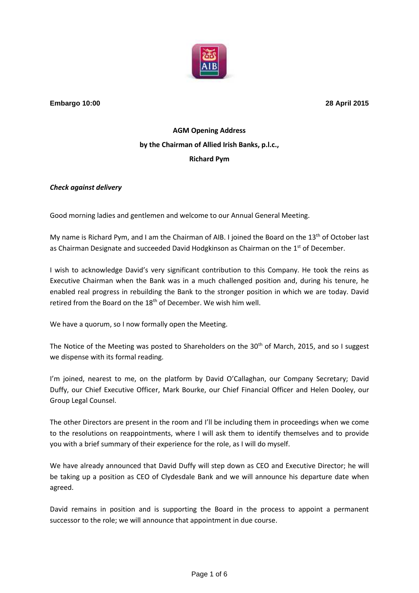

**Embargo 10:00 28 April 2015**

## **AGM Opening Address by the Chairman of Allied Irish Banks, p.l.c., Richard Pym**

## *Check against delivery*

Good morning ladies and gentlemen and welcome to our Annual General Meeting.

My name is Richard Pym, and I am the Chairman of AIB. I joined the Board on the  $13<sup>th</sup>$  of October last as Chairman Designate and succeeded David Hodgkinson as Chairman on the 1<sup>st</sup> of December.

I wish to acknowledge David's very significant contribution to this Company. He took the reins as Executive Chairman when the Bank was in a much challenged position and, during his tenure, he enabled real progress in rebuilding the Bank to the stronger position in which we are today. David retired from the Board on the 18<sup>th</sup> of December. We wish him well.

We have a quorum, so I now formally open the Meeting.

The Notice of the Meeting was posted to Shareholders on the  $30<sup>th</sup>$  of March, 2015, and so I suggest we dispense with its formal reading.

I'm joined, nearest to me, on the platform by David O'Callaghan, our Company Secretary; David Duffy, our Chief Executive Officer, Mark Bourke, our Chief Financial Officer and Helen Dooley, our Group Legal Counsel.

The other Directors are present in the room and I'll be including them in proceedings when we come to the resolutions on reappointments, where I will ask them to identify themselves and to provide you with a brief summary of their experience for the role, as I will do myself.

We have already announced that David Duffy will step down as CEO and Executive Director; he will be taking up a position as CEO of Clydesdale Bank and we will announce his departure date when agreed.

David remains in position and is supporting the Board in the process to appoint a permanent successor to the role; we will announce that appointment in due course.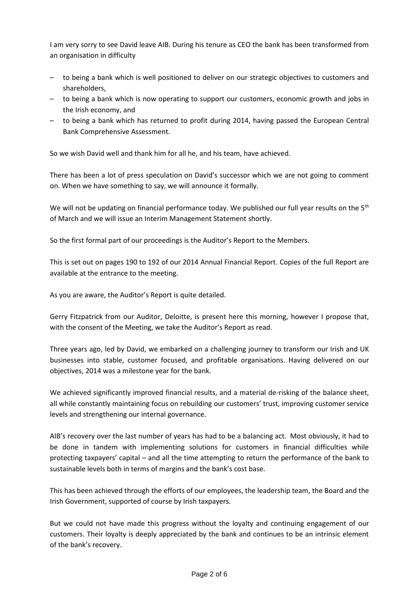I am very sorry to see David leave AIB. During his tenure as CEO the bank has been transformed from an organisation in difficulty

- to being a bank which is well positioned to deliver on our strategic objectives to customers and shareholders,
- to being a bank which is now operating to support our customers, economic growth and jobs in the Irish economy, and
- to being a bank which has returned to profit during 2014, having passed the European Central Bank Comprehensive Assessment.

So we wish David well and thank him for all he, and his team, have achieved.

There has been a lot of press speculation on David's successor which we are not going to comment on. When we have something to say, we will announce it formally.

We will not be updating on financial performance today. We published our full year results on the 5<sup>th</sup> of March and we will issue an Interim Management Statement shortly.

So the first formal part of our proceedings is the Auditor's Report to the Members.

This is set out on pages 190 to 192 of our 2014 Annual Financial Report. Copies of the full Report are available at the entrance to the meeting.

As you are aware, the Auditor's Report is quite detailed.

Gerry Fitzpatrick from our Auditor, Deloitte, is present here this morning, however I propose that, with the consent of the Meeting, we take the Auditor's Report as read.

Three years ago, led by David, we embarked on a challenging journey to transform our Irish and UK businesses into stable, customer focused, and profitable organisations. Having delivered on our objectives, 2014 was a milestone year for the bank.

We achieved significantly improved financial results, and a material de-risking of the balance sheet, all while constantly maintaining focus on rebuilding our customers' trust, improving customer service levels and strengthening our internal governance.

AIB's recovery over the last number of years has had to be a balancing act. Most obviously, it had to be done in tandem with implementing solutions for customers in financial difficulties while protecting taxpayers' capital – and all the time attempting to return the performance of the bank to sustainable levels both in terms of margins and the bank's cost base.

This has been achieved through the efforts of our employees, the leadership team, the Board and the Irish Government, supported of course by Irish taxpayers.

But we could not have made this progress without the loyalty and continuing engagement of our customers. Their loyalty is deeply appreciated by the bank and continues to be an intrinsic element of the bank's recovery.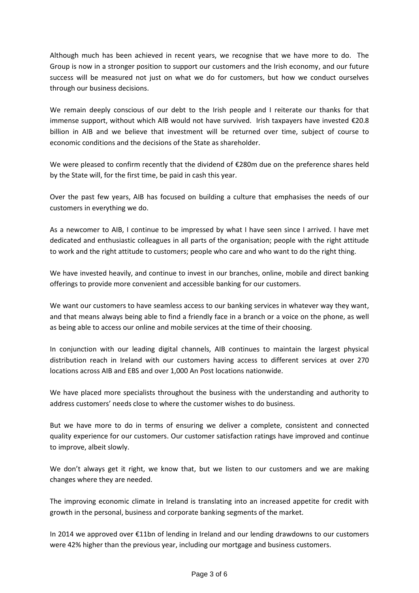Although much has been achieved in recent years, we recognise that we have more to do. The Group is now in a stronger position to support our customers and the Irish economy, and our future success will be measured not just on what we do for customers, but how we conduct ourselves through our business decisions.

We remain deeply conscious of our debt to the Irish people and I reiterate our thanks for that immense support, without which AIB would not have survived. Irish taxpayers have invested €20.8 billion in AIB and we believe that investment will be returned over time, subject of course to economic conditions and the decisions of the State as shareholder.

We were pleased to confirm recently that the dividend of €280m due on the preference shares held by the State will, for the first time, be paid in cash this year.

Over the past few years, AIB has focused on building a culture that emphasises the needs of our customers in everything we do.

As a newcomer to AIB, I continue to be impressed by what I have seen since I arrived. I have met dedicated and enthusiastic colleagues in all parts of the organisation; people with the right attitude to work and the right attitude to customers; people who care and who want to do the right thing.

We have invested heavily, and continue to invest in our branches, online, mobile and direct banking offerings to provide more convenient and accessible banking for our customers.

We want our customers to have seamless access to our banking services in whatever way they want, and that means always being able to find a friendly face in a branch or a voice on the phone, as well as being able to access our online and mobile services at the time of their choosing.

In conjunction with our leading digital channels, AIB continues to maintain the largest physical distribution reach in Ireland with our customers having access to different services at over 270 locations across AIB and EBS and over 1,000 An Post locations nationwide.

We have placed more specialists throughout the business with the understanding and authority to address customers' needs close to where the customer wishes to do business.

But we have more to do in terms of ensuring we deliver a complete, consistent and connected quality experience for our customers. Our customer satisfaction ratings have improved and continue to improve, albeit slowly.

We don't always get it right, we know that, but we listen to our customers and we are making changes where they are needed.

The improving economic climate in Ireland is translating into an increased appetite for credit with growth in the personal, business and corporate banking segments of the market.

In 2014 we approved over €11bn of lending in Ireland and our lending drawdowns to our customers were 42% higher than the previous year, including our mortgage and business customers.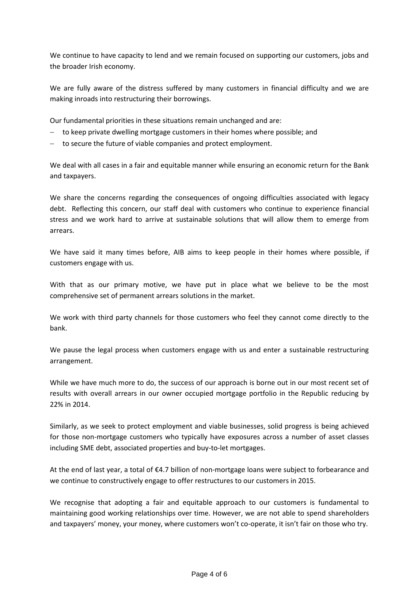We continue to have capacity to lend and we remain focused on supporting our customers, jobs and the broader Irish economy.

We are fully aware of the distress suffered by many customers in financial difficulty and we are making inroads into restructuring their borrowings.

Our fundamental priorities in these situations remain unchanged and are:

- to keep private dwelling mortgage customers in their homes where possible; and
- to secure the future of viable companies and protect employment.

We deal with all cases in a fair and equitable manner while ensuring an economic return for the Bank and taxpayers.

We share the concerns regarding the consequences of ongoing difficulties associated with legacy debt. Reflecting this concern, our staff deal with customers who continue to experience financial stress and we work hard to arrive at sustainable solutions that will allow them to emerge from arrears.

We have said it many times before, AIB aims to keep people in their homes where possible, if customers engage with us.

With that as our primary motive, we have put in place what we believe to be the most comprehensive set of permanent arrears solutions in the market.

We work with third party channels for those customers who feel they cannot come directly to the bank.

We pause the legal process when customers engage with us and enter a sustainable restructuring arrangement.

While we have much more to do, the success of our approach is borne out in our most recent set of results with overall arrears in our owner occupied mortgage portfolio in the Republic reducing by 22% in 2014.

Similarly, as we seek to protect employment and viable businesses, solid progress is being achieved for those non-mortgage customers who typically have exposures across a number of asset classes including SME debt, associated properties and buy-to-let mortgages.

At the end of last year, a total of €4.7 billion of non-mortgage loans were subject to forbearance and we continue to constructively engage to offer restructures to our customers in 2015.

We recognise that adopting a fair and equitable approach to our customers is fundamental to maintaining good working relationships over time. However, we are not able to spend shareholders and taxpayers' money, your money, where customers won't co-operate, it isn't fair on those who try.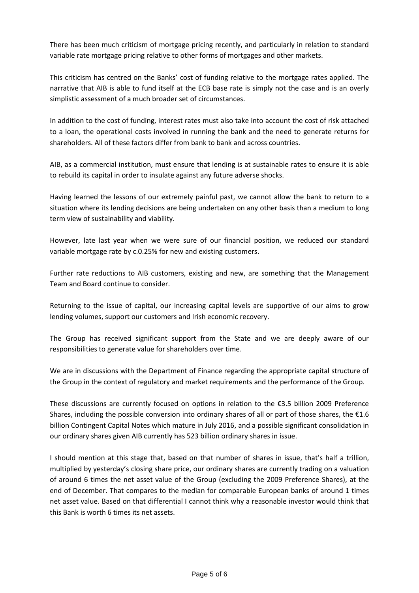There has been much criticism of mortgage pricing recently, and particularly in relation to standard variable rate mortgage pricing relative to other forms of mortgages and other markets.

This criticism has centred on the Banks' cost of funding relative to the mortgage rates applied. The narrative that AIB is able to fund itself at the ECB base rate is simply not the case and is an overly simplistic assessment of a much broader set of circumstances.

In addition to the cost of funding, interest rates must also take into account the cost of risk attached to a loan, the operational costs involved in running the bank and the need to generate returns for shareholders. All of these factors differ from bank to bank and across countries.

AIB, as a commercial institution, must ensure that lending is at sustainable rates to ensure it is able to rebuild its capital in order to insulate against any future adverse shocks.

Having learned the lessons of our extremely painful past, we cannot allow the bank to return to a situation where its lending decisions are being undertaken on any other basis than a medium to long term view of sustainability and viability.

However, late last year when we were sure of our financial position, we reduced our standard variable mortgage rate by c.0.25% for new and existing customers.

Further rate reductions to AIB customers, existing and new, are something that the Management Team and Board continue to consider.

Returning to the issue of capital, our increasing capital levels are supportive of our aims to grow lending volumes, support our customers and Irish economic recovery.

The Group has received significant support from the State and we are deeply aware of our responsibilities to generate value for shareholders over time.

We are in discussions with the Department of Finance regarding the appropriate capital structure of the Group in the context of regulatory and market requirements and the performance of the Group.

These discussions are currently focused on options in relation to the €3.5 billion 2009 Preference Shares, including the possible conversion into ordinary shares of all or part of those shares, the  $E1.6$ billion Contingent Capital Notes which mature in July 2016, and a possible significant consolidation in our ordinary shares given AIB currently has 523 billion ordinary shares in issue.

I should mention at this stage that, based on that number of shares in issue, that's half a trillion, multiplied by yesterday's closing share price, our ordinary shares are currently trading on a valuation of around 6 times the net asset value of the Group (excluding the 2009 Preference Shares), at the end of December. That compares to the median for comparable European banks of around 1 times net asset value. Based on that differential I cannot think why a reasonable investor would think that this Bank is worth 6 times its net assets.